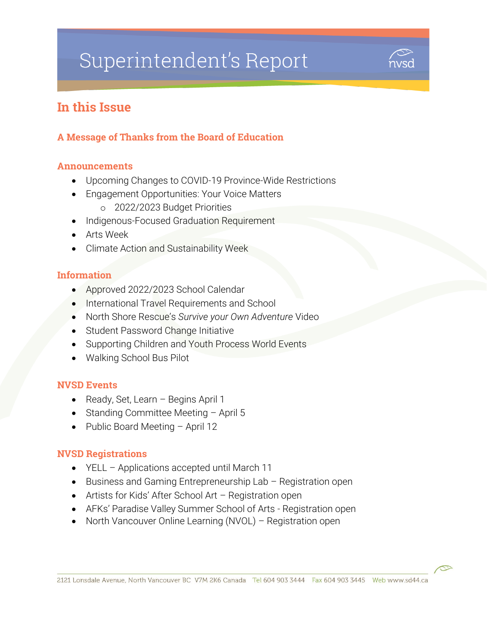# Superintendent's Report



# In this Issue

#### A Message of Thanks from the Board of Education

#### Announcements

- Upcoming Changes to COVID-19 Province-Wide Restrictions
- Engagement Opportunities: Your Voice Matters
	- o 2022/2023 Budget Priorities
- Indigenous-Focused Graduation Requirement
- Arts Week
- Climate Action and Sustainability Week

#### Information

- Approved 2022/2023 School Calendar
- International Travel Requirements and School
- North Shore Rescue's *Survive your Own Adventure* Video
- Student Password Change Initiative
- Supporting Children and Youth Process World Events
- Walking School Bus Pilot

#### NVSD Events

- Ready, Set, Learn Begins April 1
- Standing Committee Meeting  $-$  April 5
- Public Board Meeting April 12

#### NVSD Registrations

- YELL Applications accepted until March 11
- Business and Gaming Entrepreneurship Lab Registration open
- Artists for Kids' After School Art Registration open
- AFKs' Paradise Valley Summer School of Arts Registration open
- North Vancouver Online Learning (NVOL) Registration open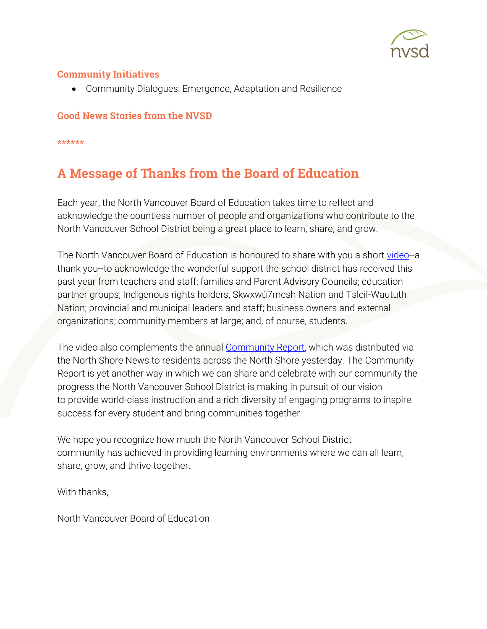

#### Community Initiatives

Community Dialogues: Emergence, Adaptation and Resilience

#### Good News Stories from the NVSD

\*\*\*\*\*\*

# A Message of Thanks from the Board of Education

Each year, the North Vancouver Board of Education takes time to reflect and acknowledge the countless number of people and organizations who contribute to the North Vancouver School District being a great place to learn, share, and grow.

The North Vancouver Board of Education is honoured to share with you a short [video-](https://vimeo.com/683951605)-a thank you--to acknowledge the wonderful support the school district has received this past year from teachers and staff; families and Parent Advisory Councils; education partner groups; Indigenous rights holders, Skwxwú7mesh Nation and Tsleil-Waututh Nation; provincial and municipal leaders and staff; business owners and external organizations; community members at large; and, of course, students.

The video also complements the annual [Community Report,](https://my44.sd44.ca/group/sym5a11/Lists/SharedDocuments/REV-NVSD_Community_Report-2022/index.aspx#page=1) which was distributed via the North Shore News to residents across the North Shore yesterday. The Community Report is yet another way in which we can share and celebrate with our community the progress the North Vancouver School District is making in pursuit of our vision to provide world-class instruction and a rich diversity of engaging programs to inspire success for every student and bring communities together.

We hope you recognize how much the North Vancouver School District community has achieved in providing learning environments where we can all learn, share, grow, and thrive together.

With thanks,

North Vancouver Board of Education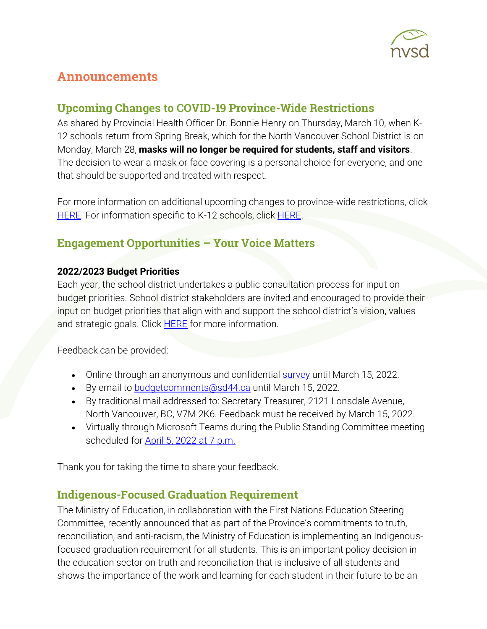

# Announcements

## Upcoming Changes to COVID-19 Province-Wide Restrictions

As shared by Provincial Health Officer Dr. Bonnie Henry on Thursday, March 10, when K-12 schools return from Spring Break, which for the North Vancouver School District is on Monday, March 28, **masks will no longer be required for students, staff and visitors**. The decision to wear a mask or face covering is a personal choice for everyone, and one that should be supported and treated with respect.

For more information on additional upcoming changes to province-wide restrictions, click [HERE.](https://www2.gov.bc.ca/gov/content/covid-19/info/restrictions#changes) For information specific to K-12 schools, click [HERE.](https://www2.gov.bc.ca/gov/content/education-training/k-12/covid-19-safe-schools)

# Engagement Opportunities – Your Voice Matters

#### **2022/2023 Budget Priorities**

Each year, the school district undertakes a public consultation process for input on budget priorities. School district stakeholders are invited and encouraged to provide their input on budget priorities that align with and support the school district's vision, values and strategic goals. Click **HERE** for more information.

Feedback can be provided:

- Online through an anonymous and confidential **survey** until March 15, 2022.
- By email to **budgetcomments@sd44.ca** until March 15, 2022.
- By traditional mail addressed to: Secretary Treasurer, 2121 Lonsdale Avenue, North Vancouver, BC, V7M 2K6. Feedback must be received by March 15, 2022.
- Virtually through Microsoft Teams during the Public Standing Committee meeting scheduled for [April 5, 2022 at 7 p.m.](https://www.sd44.ca/Board/Meetings/Pages/default.aspx#/=)

Thank you for taking the time to share your feedback.

## Indigenous-Focused Graduation Requirement

The Ministry of Education, in collaboration with the First Nations Education Steering Committee, recently announced that as part of the Province's commitments to truth, reconciliation, and anti-racism, the Ministry of Education is implementing an Indigenousfocused graduation requirement for all students. This is an important policy decision in the education sector on truth and reconciliation that is inclusive of all students and shows the importance of the work and learning for each student in their future to be an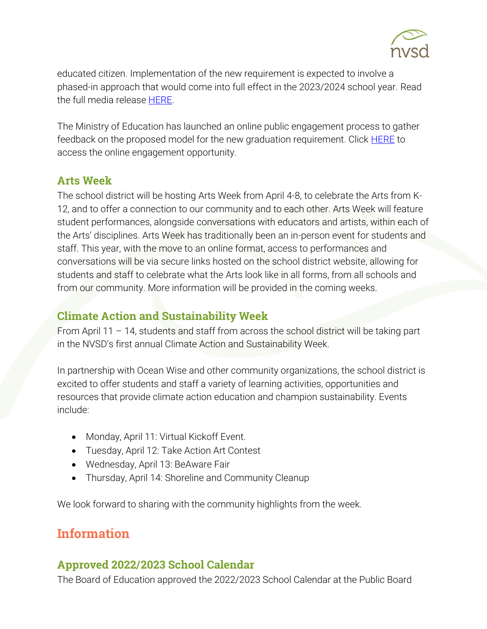

educated citizen. Implementation of the new requirement is expected to involve a phased-in approach that would come into full effect in the 2023/2024 school year. Read the full media release [HERE.](https://news.gov.bc.ca/releases/2022EDUC0007-000297)

The Ministry of Education has launched an online public engagement process to gather feedback on the proposed model for the new graduation requirement. Click **HERE** to access the online engagement opportunity.

#### Arts Week

The school district will be hosting Arts Week from April 4-8, to celebrate the Arts from K-12, and to offer a connection to our community and to each other. Arts Week will feature student performances, alongside conversations with educators and artists, within each of the Arts' disciplines. Arts Week has traditionally been an in-person event for students and staff. This year, with the move to an online format, access to performances and conversations will be via secure links hosted on the school district website, allowing for students and staff to celebrate what the Arts look like in all forms, from all schools and from our community. More information will be provided in the coming weeks.

#### Climate Action and Sustainability Week

From April 11 – 14, students and staff from across the school district will be taking part in the NVSD's first annual Climate Action and Sustainability Week.

In partnership with Ocean Wise and other community organizations, the school district is excited to offer students and staff a variety of learning activities, opportunities and resources that provide climate action education and champion sustainability. Events include:

- Monday, April 11: Virtual Kickoff Event.
- Tuesday, April 12: Take Action Art Contest
- Wednesday, April 13: BeAware Fair
- Thursday, April 14: Shoreline and Community Cleanup

We look forward to sharing with the community highlights from the week.

# **Information**

## Approved 2022/2023 School Calendar

The Board of Education approved the 2022/2023 School Calendar at the Public Board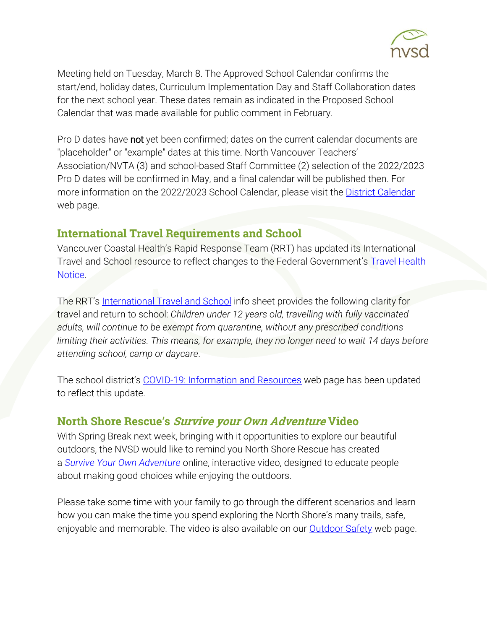

Meeting held on Tuesday, March 8. The Approved School Calendar confirms the start/end, holiday dates, Curriculum Implementation Day and Staff Collaboration dates for the next school year. These dates remain as indicated in the Proposed School Calendar that was made available for public comment in February.

Pro D dates have not yet been confirmed; dates on the current calendar documents are "placeholder" or "example" dates at this time. North Vancouver Teachers' Association/NVTA (3) and school-based Staff Committee (2) selection of the 2022/2023 Pro D dates will be confirmed in May, and a final calendar will be published then. For more information on the 2022/2023 School Calendar, please visit the [District Calendar](https://www.sd44.ca/District/DistrictCalendar/Pages/default.aspx#/=) web page.

#### International Travel Requirements and School

Vancouver Coastal Health's Rapid Response Team (RRT) has updated its International Travel and School resource to reflect changes to the Federal Government's Travel Health [Notice.](https://travel.gc.ca/travelling/health-safety/travel-health-notices/226)

The RRT's [International Travel and School](https://www.sd44.ca/COVID-19/Documents/International%20Travel%20and%20School_RRT%20Feb%202022.pdf) info sheet provides the following clarity for travel and return to school: *Children under 12 years old, travelling with fully vaccinated adults, will continue to be exempt from quarantine, without any prescribed conditions limiting their activities. This means, for example, they no longer need to wait 14 days before attending school, camp or daycare*.

The school district's [COVID-19: Information and Resources](https://www.sd44.ca/COVID-19/Pages/default.aspx#/=) web page has been updated to reflect this update.

#### North Shore Rescue's Survive your Own Adventure Video

With Spring Break next week, bringing with it opportunities to explore our beautiful outdoors, the NVSD would like to remind you North Shore Rescue has created a *[Survive Your Own Adventure](https://www.northshorerescue.com/education/interactive-video/)* online, interactive video, designed to educate people about making good choices while enjoying the outdoors.

Please take some time with your family to go through the different scenarios and learn how you can make the time you spend exploring the North Shore's many trails, safe, enjoyable and memorable. The video is also available on our [Outdoor Safety](https://www.sd44.ca/District/SafeCaringSchools/OutdoorSafety/Pages/default.aspx) web page.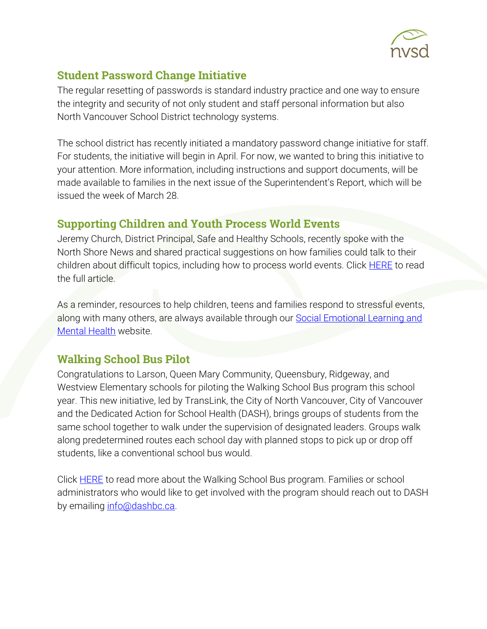

## Student Password Change Initiative

The regular resetting of passwords is standard industry practice and one way to ensure the integrity and security of not only student and staff personal information but also North Vancouver School District technology systems.

The school district has recently initiated a mandatory password change initiative for staff. For students, the initiative will begin in April. For now, we wanted to bring this initiative to your attention. More information, including instructions and support documents, will be made available to families in the next issue of the Superintendent's Report, which will be issued the week of March 28.

## Supporting Children and Youth Process World Events

Jeremy Church, District Principal, Safe and Healthy Schools, recently spoke with the North Shore News and shared practical suggestions on how families could talk to their children about difficult topics, including how to process world events. Click **HERE** to read the full article.

As a reminder, resources to help children, teens and families respond to stressful events, along with many others, are always available through our **Social Emotional Learning and** [Mental Health](https://www.sd44.ca/sites/SEL/Parents/Pages/default.aspx#/=) website.

## Walking School Bus Pilot

Congratulations to Larson, Queen Mary Community, Queensbury, Ridgeway, and Westview Elementary schools for piloting the Walking School Bus program this school year. This new initiative, led by TransLink, the City of North Vancouver, City of Vancouver and the Dedicated Action for School Health (DASH), brings groups of students from the same school together to walk under the supervision of designated leaders. Groups walk along predetermined routes each school day with planned stops to pick up or drop off students, like a conventional school bus would.

Click **HERE** to read more about the Walking School Bus program. Families or school administrators who would like to get involved with the program should reach out to DASH by emailing [info@dashbc.ca.](mailto:info@dashbc.ca)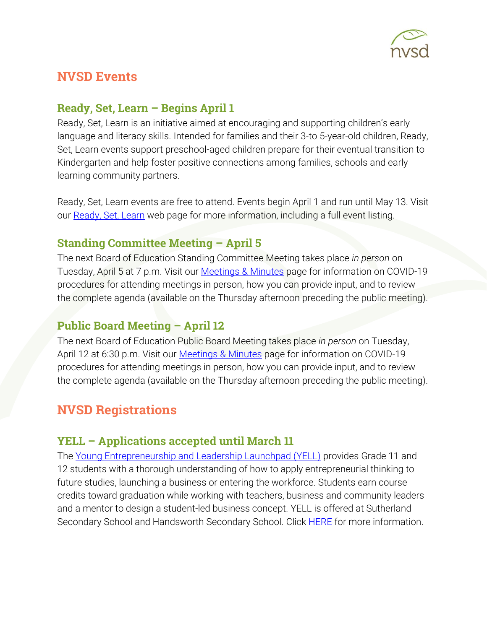

# **NVSD Events**

#### **Ready, Set, Learn – Begins April 1**

Ready, Set, Learn is an initiative aimed at encouraging and supporting children's early language and literacy skills. Intended for families and their 3-to 5-year-old children, Ready, Set, Learn events support preschool-aged children prepare for their eventual transition to Kindergarten and help foster positive connections among families, schools and early learning community partners.

Ready, Set, Learn events are free to attend. Events begin April 1 and run until May 13. Visit our [Ready, Set, Learn](https://www.sd44.ca/ProgramsServices/earlylearning/readysetlearn/Pages/default.aspx#/=) web page for more information, including a full event listing.

#### Standing Committee Meeting – April 5

The next Board of Education Standing Committee Meeting takes place *in person* on Tuesday, April 5 at 7 p.m. Visit our [Meetings & Minutes](https://www.sd44.ca/Board/Meetings/Pages/default.aspx#/=) page for information on COVID-19 procedures for attending meetings in person, how you can provide input, and to review the complete agenda (available on the Thursday afternoon preceding the public meeting).

#### **Public Board Meeting – April 12**

The next Board of Education Public Board Meeting takes place *in person* on Tuesday, April 12 at 6:30 p.m. Visit our [Meetings & Minutes](https://www.sd44.ca/Board/Meetings/Pages/default.aspx#/=) page for information on COVID-19 procedures for attending meetings in person, how you can provide input, and to review the complete agenda (available on the Thursday afternoon preceding the public meeting).

# NVSD Registrations

## YELL – Applications accepted until March 11

The [Young Entrepreneurship and Leadership Launchpad \(YELL\)](https://www.sd44.ca/ProgramsServices/careereducation/School-Based%20Career%20Programs/Pages/default.aspx#/=) provides Grade 11 and 12 students with a thorough understanding of how to apply entrepreneurial thinking to future studies, launching a business or entering the workforce. Students earn course credits toward graduation while working with teachers, business and community leaders and a mentor to design a student-led business concept. YELL is offered at Sutherland Secondary School and Handsworth Secondary School. Click **HERE** for more information.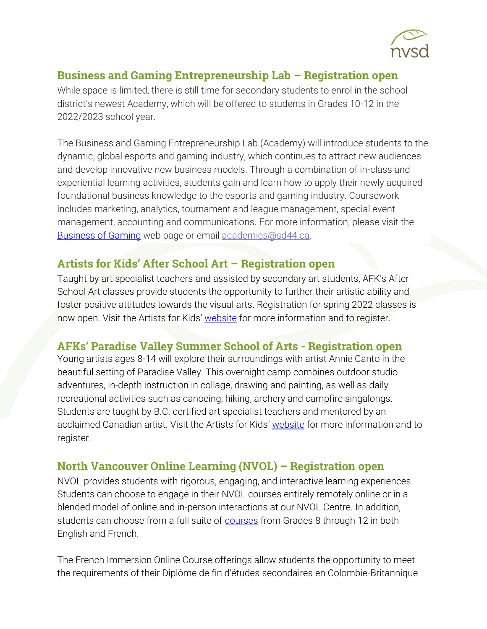

#### Business and Gaming Entrepreneurship Lab – Registration open

While space is limited, there is still time for secondary students to enrol in the school district's newest Academy, which will be offered to students in Grades 10-12 in the 2022/2023 school year.

The Business and Gaming Entrepreneurship Lab (Academy) will introduce students to the dynamic, global esports and gaming industry, which continues to attract new audiences and develop innovative new business models. Through a combination of in-class and experiential learning activities, students gain and learn how to apply their newly acquired foundational business knowledge to the esports and gaming industry. Coursework includes marketing, analytics, tournament and league management, special event management, accounting and communications. For more information, please visit the [Business of Gaming](https://www.sd44.ca/ProgramsServices/Academies/Gaming/Pages/default.aspx#/=) web page or email [academies@sd44.ca.](mailto:academies@sd44.ca)

# Artists for Kids' After School Art – Registration open

Taught by art specialist teachers and assisted by secondary art students, AFK's After School Art classes provide students the opportunity to further their artistic ability and foster positive attitudes towards the visual arts. Registration for spring 2022 classes is now open. Visit the Artists for Kids' [website](https://www.sd44.ca/school/artistsforkids/learn/afterschoolart/Pages/default.aspx#/=) for more information and to register.

## AFKs' Paradise Valley Summer School of Arts - Registration open

Young artists ages 8-14 will explore their surroundings with artist Annie Canto in the beautiful setting of Paradise Valley. This overnight camp combines outdoor studio adventures, in-depth instruction in collage, drawing and painting, as well as daily recreational activities such as canoeing, hiking, archery and campfire singalongs. Students are taught by B.C. certified art specialist teachers and mentored by an acclaimed Canadian artist. Visit the Artists for Kids' [website](https://www.sd44.ca/school/artistsforkids/learn/paradisevalleysummervisualartscamps/Pages/default.aspx#/=) for more information and to register.

## North Vancouver Online Learning (NVOL) – Registration open

NVOL provides students with rigorous, engaging, and interactive learning experiences. Students can choose to engage in their NVOL courses entirely remotely online or in a blended model of online and in-person interactions at our NVOL Centre. In addition, students can choose from a full suite of [courses](https://www.sd44.ca/school/onlinelearning/ProgramsServices/Courses/Pages/default.aspx#/=) from Grades 8 through 12 in both English and French.

The French Immersion Online Course offerings allow students the opportunity to meet the requirements of their Diplôme de fin d'études secondaires en Colombie-Britannique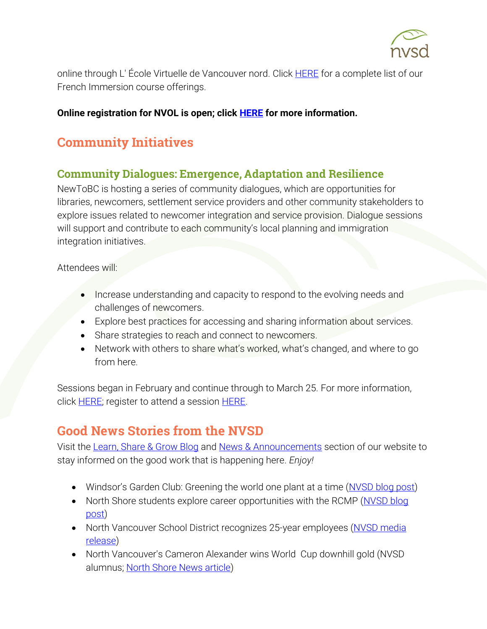

online through L' École Virtuelle de Vancouver nord. Click [HERE](https://www.sd44.ca/school/onlinelearning/ProgramsServices/EcoleVirtuelle/Pages/default.aspx#/=) for a complete list of our French Immersion course offerings.

#### **Online registration for NVOL is open; click [HERE](https://www.sd44.ca/school/onlinelearning/About/registration/Pages/default.aspx#/=) for more information.**

# Community Initiatives

## Community Dialogues: Emergence, Adaptation and Resilience

NewToBC is hosting a series of community dialogues, which are opportunities for libraries, newcomers, settlement service providers and other community stakeholders to explore issues related to newcomer integration and service provision. Dialogue sessions will support and contribute to each community's local planning and immigration integration initiatives.

Attendees will:

- Increase understanding and capacity to respond to the evolving needs and challenges of newcomers.
- Explore best practices for accessing and sharing information about services.
- Share strategies to reach and connect to newcomers.
- Network with others to share what's worked, what's changed, and where to go from here.

Sessions began in February and continue through to March 25. For more information, click **HERE**; register to attend a session **HERE**.

# Good News Stories from the NVSD

Visit the [Learn, Share & Grow Blog](https://www.sd44.ca/District/LearnShareGrow/default.aspx#/) and [News & Announcements](https://www.sd44.ca/Pages/newsarchive.aspx?ListID=d00680b1-9ba1-4668-9328-d82dd27dacd4) section of our website to stay informed on the good work that is happening here. *Enjoy!*

- Windsor's Garden Club: Greening the world one plant at a time ([NVSD blog post\)](https://www.sd44.ca/District/LearnShareGrow/default.aspx#/view/681)
- North Shore students explore career opportunities with the RCMP (NVSD blog [post\)](https://www.sd44.ca/District/LearnShareGrow/default.aspx#/view/680)
- North Vancouver School District recognizes 25-year employees (NVSD media [release\)](https://www.sd44.ca/Pages/newsitem.aspx?ItemID=1085&ListID=d00680b1-9ba1-4668-9328-d82dd27dacd4&TemplateID=Announcement_Item#/=)
- North Vancouver's Cameron Alexander wins World Cup downhill gold (NVSD alumnus; [North Shore News article\)](https://www.sd44.ca/Pages/newsitem.aspx?ItemID=1086&ListID=d00680b1-9ba1-4668-9328-d82dd27dacd4&TemplateID=Announcement_Item#/=)